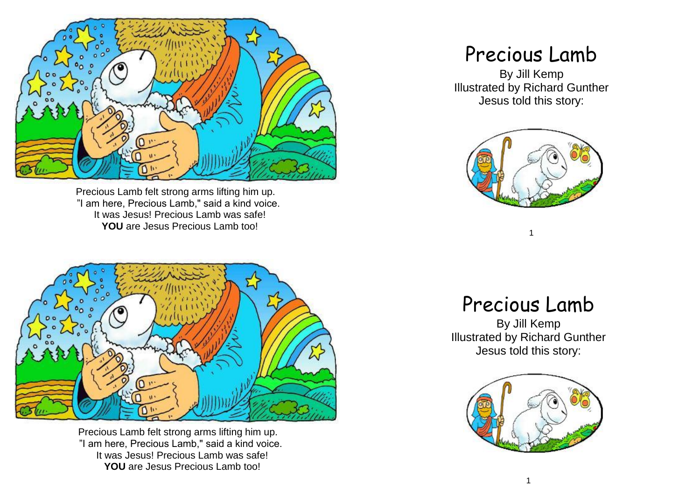

Precious Lamb felt strong arms lifting him up. "I am here, Precious Lamb," said a kind voice. It was Jesus! Precious Lamb was safe! **YOU** are Jesus Precious Lamb too!



Precious Lamb felt strong arms lifting him up. "I am here, Precious Lamb," said a kind voice. It was Jesus! Precious Lamb was safe! **YOU** are Jesus Precious Lamb too!

## Precious Lamb

By Jill Kemp Illustrated by Richard Gunther Jesus told this story:



## Precious Lamb

1

By Jill Kemp Illustrated by Richard Gunther Jesus told this story:

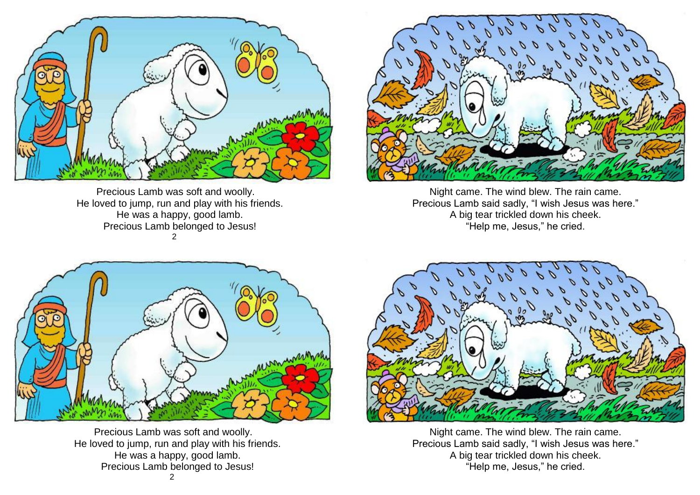

Precious Lamb was soft and woolly. He loved to jump, run and play with his friends. He was a happy, good lamb. Precious Lamb belonged to Jesus! 2



Night came. The wind blew. The rain came. Precious Lamb said sadly, "I wish Jesus was here." A big tear trickled down his cheek. "Help me, Jesus," he cried.



Precious Lamb was soft and woolly. He loved to jump, run and play with his friends. He was a happy, good lamb. Precious Lamb belonged to Jesus!



Night came. The wind blew. The rain came. Precious Lamb said sadly, "I wish Jesus was here." A big tear trickled down his cheek. "Help me, Jesus," he cried.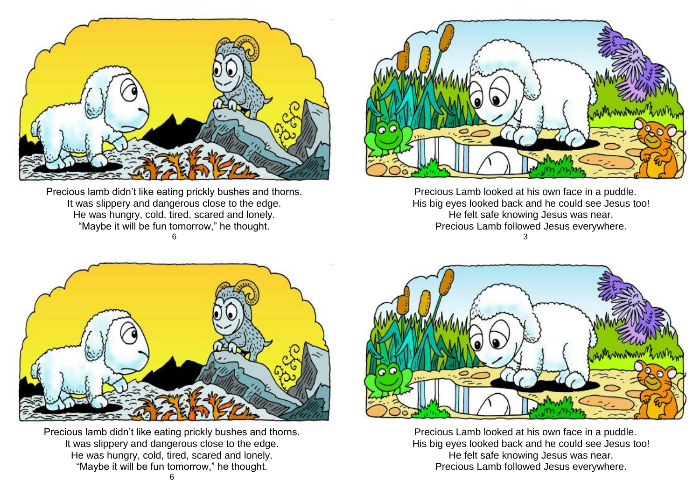

Precious lamb didn't like eating prickly bushes and thorns. It was slippery and dangerous close to the edge. He was hungry, cold, tired, scared and lonely. "Maybe it will be fun tomorrow," he thought. 6



Precious Lamb looked at his own face in a puddle. His big eyes looked back and he could see Jesus too! He felt safe knowing Jesus was near. Precious Lamb followed Jesus everywhere. 3



Precious lamb didn't like eating prickly bushes and thorns. It was slippery and dangerous close to the edge. He was hungry, cold, tired, scared and lonely. "Maybe it will be fun tomorrow," he thought.



Precious Lamb looked at his own face in a puddle. His big eyes looked back and he could see Jesus too! He felt safe knowing Jesus was near. Precious Lamb followed Jesus everywhere.